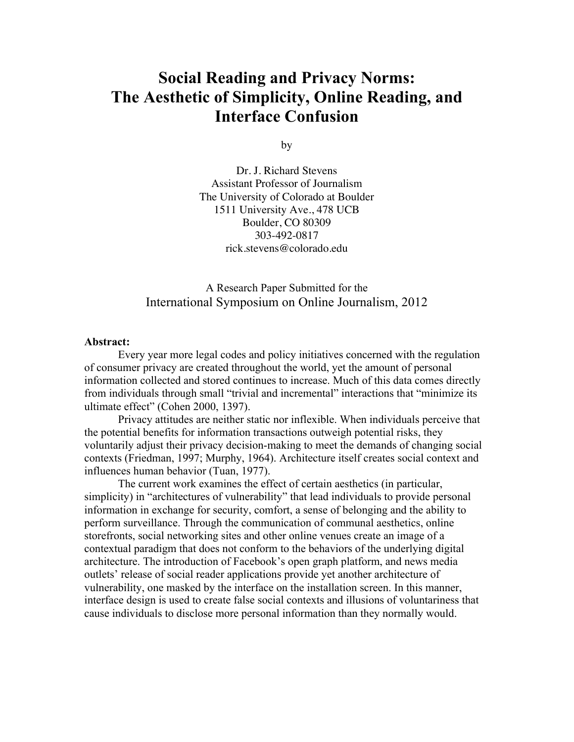# **Social Reading and Privacy Norms: The Aesthetic of Simplicity, Online Reading, and Interface Confusion**

by

Dr. J. Richard Stevens Assistant Professor of Journalism The University of Colorado at Boulder 1511 University Ave., 478 UCB Boulder, CO 80309 303-492-0817 rick.stevens@colorado.edu

# A Research Paper Submitted for the International Symposium on Online Journalism, 2012

#### **Abstract:**

Every year more legal codes and policy initiatives concerned with the regulation of consumer privacy are created throughout the world, yet the amount of personal information collected and stored continues to increase. Much of this data comes directly from individuals through small "trivial and incremental" interactions that "minimize its ultimate effect" (Cohen 2000, 1397).

Privacy attitudes are neither static nor inflexible. When individuals perceive that the potential benefits for information transactions outweigh potential risks, they voluntarily adjust their privacy decision-making to meet the demands of changing social contexts (Friedman, 1997; Murphy, 1964). Architecture itself creates social context and influences human behavior (Tuan, 1977).

The current work examines the effect of certain aesthetics (in particular, simplicity) in "architectures of vulnerability" that lead individuals to provide personal information in exchange for security, comfort, a sense of belonging and the ability to perform surveillance. Through the communication of communal aesthetics, online storefronts, social networking sites and other online venues create an image of a contextual paradigm that does not conform to the behaviors of the underlying digital architecture. The introduction of Facebook's open graph platform, and news media outlets' release of social reader applications provide yet another architecture of vulnerability, one masked by the interface on the installation screen. In this manner, interface design is used to create false social contexts and illusions of voluntariness that cause individuals to disclose more personal information than they normally would.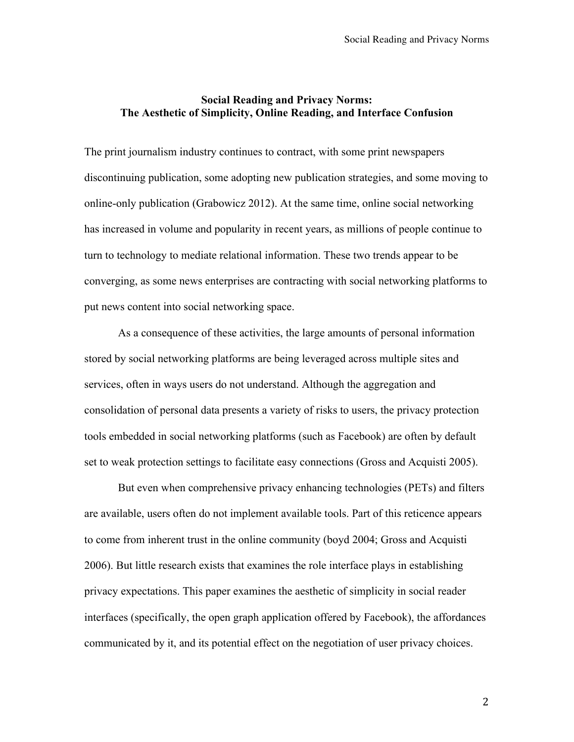# **Social Reading and Privacy Norms: The Aesthetic of Simplicity, Online Reading, and Interface Confusion**

The print journalism industry continues to contract, with some print newspapers discontinuing publication, some adopting new publication strategies, and some moving to online-only publication (Grabowicz 2012). At the same time, online social networking has increased in volume and popularity in recent years, as millions of people continue to turn to technology to mediate relational information. These two trends appear to be converging, as some news enterprises are contracting with social networking platforms to put news content into social networking space.

As a consequence of these activities, the large amounts of personal information stored by social networking platforms are being leveraged across multiple sites and services, often in ways users do not understand. Although the aggregation and consolidation of personal data presents a variety of risks to users, the privacy protection tools embedded in social networking platforms (such as Facebook) are often by default set to weak protection settings to facilitate easy connections (Gross and Acquisti 2005).

But even when comprehensive privacy enhancing technologies (PETs) and filters are available, users often do not implement available tools. Part of this reticence appears to come from inherent trust in the online community (boyd 2004; Gross and Acquisti 2006). But little research exists that examines the role interface plays in establishing privacy expectations. This paper examines the aesthetic of simplicity in social reader interfaces (specifically, the open graph application offered by Facebook), the affordances communicated by it, and its potential effect on the negotiation of user privacy choices.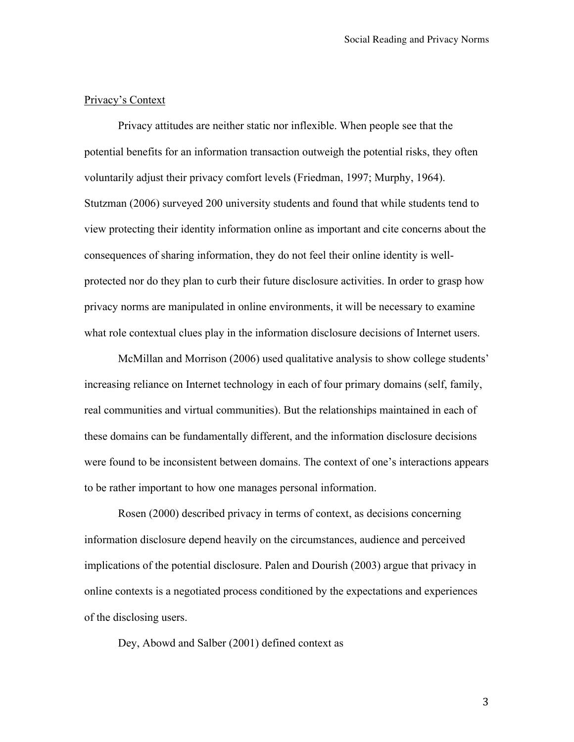## Privacy's Context

Privacy attitudes are neither static nor inflexible. When people see that the potential benefits for an information transaction outweigh the potential risks, they often voluntarily adjust their privacy comfort levels (Friedman, 1997; Murphy, 1964). Stutzman (2006) surveyed 200 university students and found that while students tend to view protecting their identity information online as important and cite concerns about the consequences of sharing information, they do not feel their online identity is wellprotected nor do they plan to curb their future disclosure activities. In order to grasp how privacy norms are manipulated in online environments, it will be necessary to examine what role contextual clues play in the information disclosure decisions of Internet users.

McMillan and Morrison (2006) used qualitative analysis to show college students' increasing reliance on Internet technology in each of four primary domains (self, family, real communities and virtual communities). But the relationships maintained in each of these domains can be fundamentally different, and the information disclosure decisions were found to be inconsistent between domains. The context of one's interactions appears to be rather important to how one manages personal information.

Rosen (2000) described privacy in terms of context, as decisions concerning information disclosure depend heavily on the circumstances, audience and perceived implications of the potential disclosure. Palen and Dourish (2003) argue that privacy in online contexts is a negotiated process conditioned by the expectations and experiences of the disclosing users.

Dey, Abowd and Salber (2001) defined context as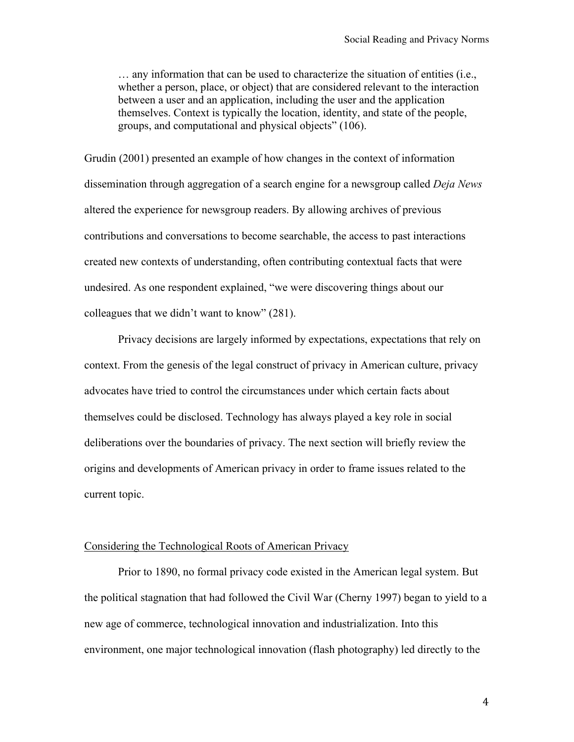… any information that can be used to characterize the situation of entities (i.e., whether a person, place, or object) that are considered relevant to the interaction between a user and an application, including the user and the application themselves. Context is typically the location, identity, and state of the people, groups, and computational and physical objects" (106).

Grudin (2001) presented an example of how changes in the context of information dissemination through aggregation of a search engine for a newsgroup called *Deja News* altered the experience for newsgroup readers. By allowing archives of previous contributions and conversations to become searchable, the access to past interactions created new contexts of understanding, often contributing contextual facts that were undesired. As one respondent explained, "we were discovering things about our colleagues that we didn't want to know" (281).

Privacy decisions are largely informed by expectations, expectations that rely on context. From the genesis of the legal construct of privacy in American culture, privacy advocates have tried to control the circumstances under which certain facts about themselves could be disclosed. Technology has always played a key role in social deliberations over the boundaries of privacy. The next section will briefly review the origins and developments of American privacy in order to frame issues related to the current topic.

## Considering the Technological Roots of American Privacy

Prior to 1890, no formal privacy code existed in the American legal system. But the political stagnation that had followed the Civil War (Cherny 1997) began to yield to a new age of commerce, technological innovation and industrialization. Into this environment, one major technological innovation (flash photography) led directly to the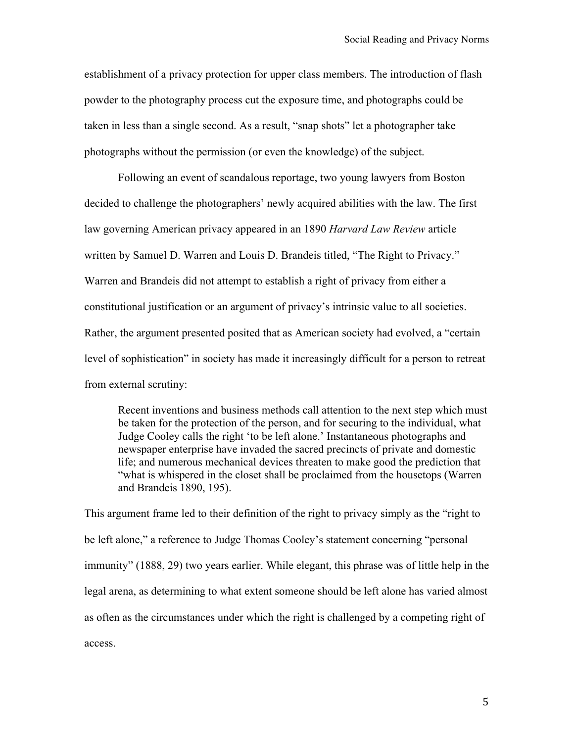establishment of a privacy protection for upper class members. The introduction of flash powder to the photography process cut the exposure time, and photographs could be taken in less than a single second. As a result, "snap shots" let a photographer take photographs without the permission (or even the knowledge) of the subject.

Following an event of scandalous reportage, two young lawyers from Boston decided to challenge the photographers' newly acquired abilities with the law. The first law governing American privacy appeared in an 1890 *Harvard Law Review* article written by Samuel D. Warren and Louis D. Brandeis titled, "The Right to Privacy." Warren and Brandeis did not attempt to establish a right of privacy from either a constitutional justification or an argument of privacy's intrinsic value to all societies. Rather, the argument presented posited that as American society had evolved, a "certain level of sophistication" in society has made it increasingly difficult for a person to retreat from external scrutiny:

Recent inventions and business methods call attention to the next step which must be taken for the protection of the person, and for securing to the individual, what Judge Cooley calls the right 'to be left alone.' Instantaneous photographs and newspaper enterprise have invaded the sacred precincts of private and domestic life; and numerous mechanical devices threaten to make good the prediction that "what is whispered in the closet shall be proclaimed from the housetops (Warren and Brandeis 1890, 195).

This argument frame led to their definition of the right to privacy simply as the "right to be left alone," a reference to Judge Thomas Cooley's statement concerning "personal immunity" (1888, 29) two years earlier. While elegant, this phrase was of little help in the legal arena, as determining to what extent someone should be left alone has varied almost as often as the circumstances under which the right is challenged by a competing right of access.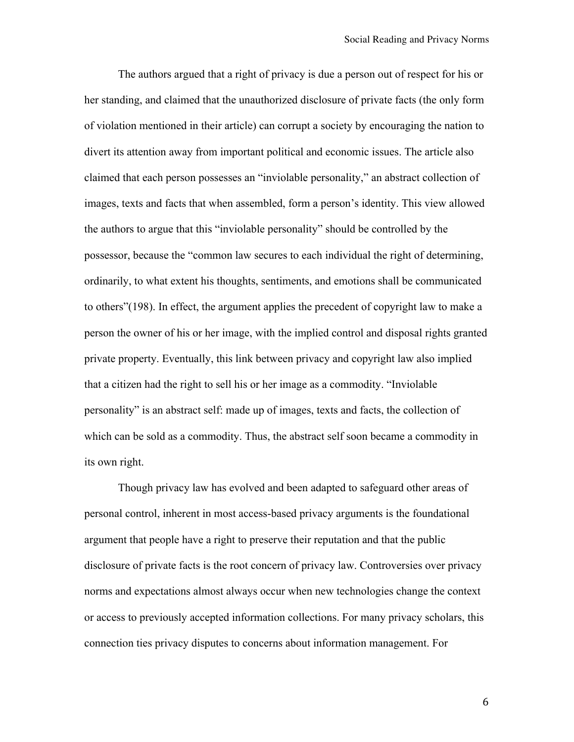The authors argued that a right of privacy is due a person out of respect for his or her standing, and claimed that the unauthorized disclosure of private facts (the only form of violation mentioned in their article) can corrupt a society by encouraging the nation to divert its attention away from important political and economic issues. The article also claimed that each person possesses an "inviolable personality," an abstract collection of images, texts and facts that when assembled, form a person's identity. This view allowed the authors to argue that this "inviolable personality" should be controlled by the possessor, because the "common law secures to each individual the right of determining, ordinarily, to what extent his thoughts, sentiments, and emotions shall be communicated to others"(198). In effect, the argument applies the precedent of copyright law to make a person the owner of his or her image, with the implied control and disposal rights granted private property. Eventually, this link between privacy and copyright law also implied that a citizen had the right to sell his or her image as a commodity. "Inviolable personality" is an abstract self: made up of images, texts and facts, the collection of which can be sold as a commodity. Thus, the abstract self soon became a commodity in its own right.

Though privacy law has evolved and been adapted to safeguard other areas of personal control, inherent in most access-based privacy arguments is the foundational argument that people have a right to preserve their reputation and that the public disclosure of private facts is the root concern of privacy law. Controversies over privacy norms and expectations almost always occur when new technologies change the context or access to previously accepted information collections. For many privacy scholars, this connection ties privacy disputes to concerns about information management. For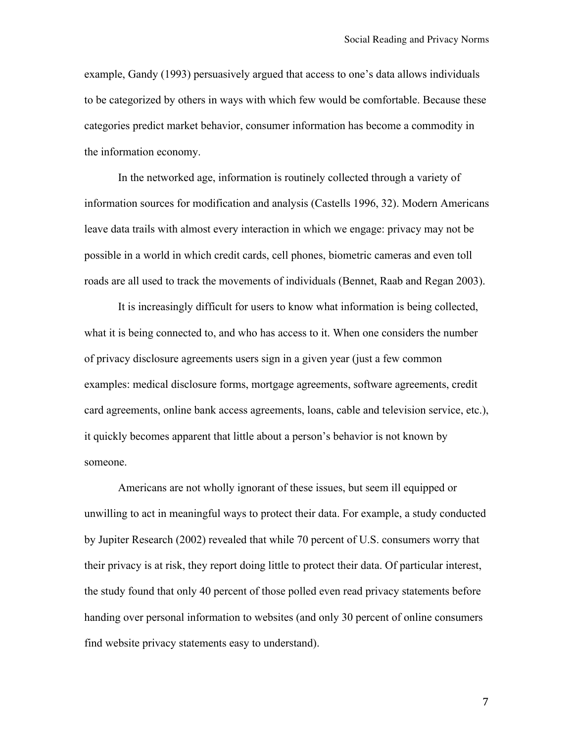example, Gandy (1993) persuasively argued that access to one's data allows individuals to be categorized by others in ways with which few would be comfortable. Because these categories predict market behavior, consumer information has become a commodity in the information economy.

In the networked age, information is routinely collected through a variety of information sources for modification and analysis (Castells 1996, 32). Modern Americans leave data trails with almost every interaction in which we engage: privacy may not be possible in a world in which credit cards, cell phones, biometric cameras and even toll roads are all used to track the movements of individuals (Bennet, Raab and Regan 2003).

It is increasingly difficult for users to know what information is being collected, what it is being connected to, and who has access to it. When one considers the number of privacy disclosure agreements users sign in a given year (just a few common examples: medical disclosure forms, mortgage agreements, software agreements, credit card agreements, online bank access agreements, loans, cable and television service, etc.), it quickly becomes apparent that little about a person's behavior is not known by someone.

Americans are not wholly ignorant of these issues, but seem ill equipped or unwilling to act in meaningful ways to protect their data. For example, a study conducted by Jupiter Research (2002) revealed that while 70 percent of U.S. consumers worry that their privacy is at risk, they report doing little to protect their data. Of particular interest, the study found that only 40 percent of those polled even read privacy statements before handing over personal information to websites (and only 30 percent of online consumers find website privacy statements easy to understand).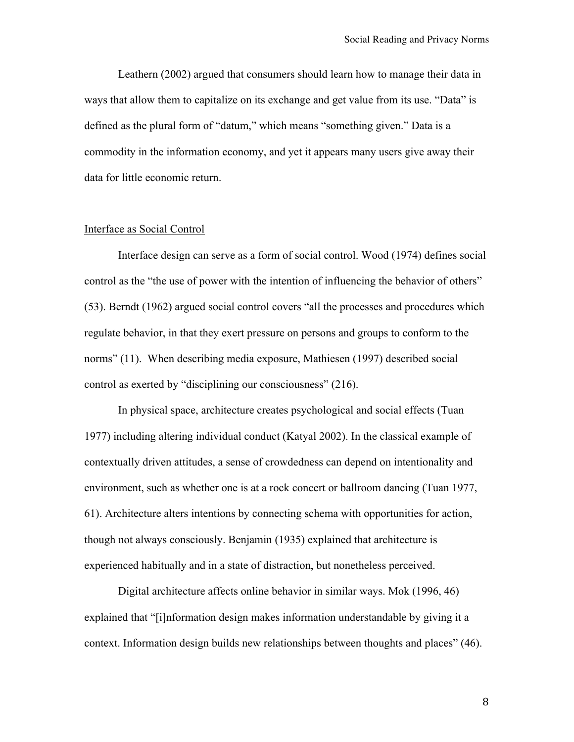Leathern (2002) argued that consumers should learn how to manage their data in ways that allow them to capitalize on its exchange and get value from its use. "Data" is defined as the plural form of "datum," which means "something given." Data is a commodity in the information economy, and yet it appears many users give away their data for little economic return.

#### Interface as Social Control

Interface design can serve as a form of social control. Wood (1974) defines social control as the "the use of power with the intention of influencing the behavior of others" (53). Berndt (1962) argued social control covers "all the processes and procedures which regulate behavior, in that they exert pressure on persons and groups to conform to the norms" (11). When describing media exposure, Mathiesen (1997) described social control as exerted by "disciplining our consciousness" (216).

In physical space, architecture creates psychological and social effects (Tuan 1977) including altering individual conduct (Katyal 2002). In the classical example of contextually driven attitudes, a sense of crowdedness can depend on intentionality and environment, such as whether one is at a rock concert or ballroom dancing (Tuan 1977, 61). Architecture alters intentions by connecting schema with opportunities for action, though not always consciously. Benjamin (1935) explained that architecture is experienced habitually and in a state of distraction, but nonetheless perceived.

Digital architecture affects online behavior in similar ways. Mok (1996, 46) explained that "[i]nformation design makes information understandable by giving it a context. Information design builds new relationships between thoughts and places" (46).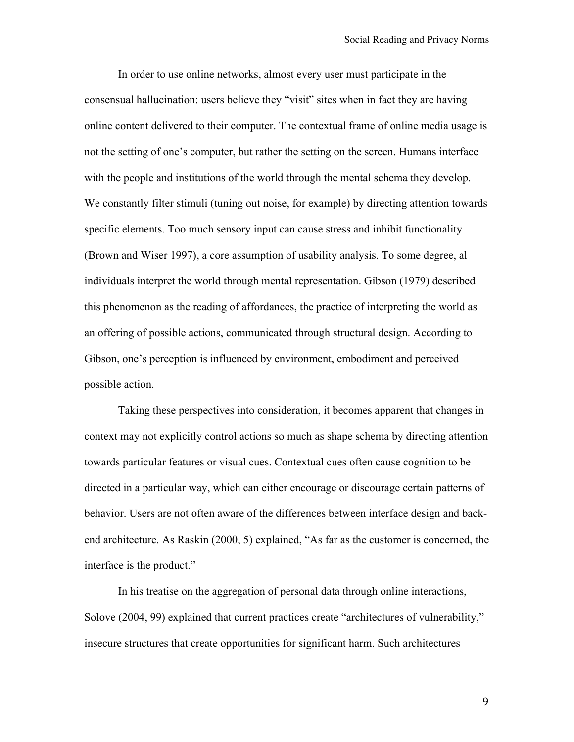In order to use online networks, almost every user must participate in the consensual hallucination: users believe they "visit" sites when in fact they are having online content delivered to their computer. The contextual frame of online media usage is not the setting of one's computer, but rather the setting on the screen. Humans interface with the people and institutions of the world through the mental schema they develop. We constantly filter stimuli (tuning out noise, for example) by directing attention towards specific elements. Too much sensory input can cause stress and inhibit functionality (Brown and Wiser 1997), a core assumption of usability analysis. To some degree, al individuals interpret the world through mental representation. Gibson (1979) described this phenomenon as the reading of affordances, the practice of interpreting the world as an offering of possible actions, communicated through structural design. According to Gibson, one's perception is influenced by environment, embodiment and perceived possible action.

Taking these perspectives into consideration, it becomes apparent that changes in context may not explicitly control actions so much as shape schema by directing attention towards particular features or visual cues. Contextual cues often cause cognition to be directed in a particular way, which can either encourage or discourage certain patterns of behavior. Users are not often aware of the differences between interface design and backend architecture. As Raskin (2000, 5) explained, "As far as the customer is concerned, the interface is the product."

In his treatise on the aggregation of personal data through online interactions, Solove (2004, 99) explained that current practices create "architectures of vulnerability," insecure structures that create opportunities for significant harm. Such architectures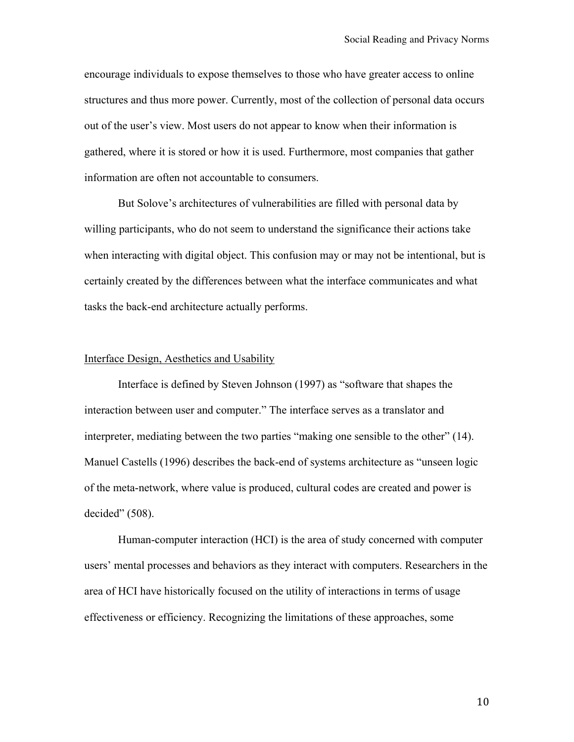encourage individuals to expose themselves to those who have greater access to online structures and thus more power. Currently, most of the collection of personal data occurs out of the user's view. Most users do not appear to know when their information is gathered, where it is stored or how it is used. Furthermore, most companies that gather information are often not accountable to consumers.

But Solove's architectures of vulnerabilities are filled with personal data by willing participants, who do not seem to understand the significance their actions take when interacting with digital object. This confusion may or may not be intentional, but is certainly created by the differences between what the interface communicates and what tasks the back-end architecture actually performs.

#### Interface Design, Aesthetics and Usability

Interface is defined by Steven Johnson (1997) as "software that shapes the interaction between user and computer." The interface serves as a translator and interpreter, mediating between the two parties "making one sensible to the other" (14). Manuel Castells (1996) describes the back-end of systems architecture as "unseen logic of the meta-network, where value is produced, cultural codes are created and power is decided" (508).

Human-computer interaction (HCI) is the area of study concerned with computer users' mental processes and behaviors as they interact with computers. Researchers in the area of HCI have historically focused on the utility of interactions in terms of usage effectiveness or efficiency. Recognizing the limitations of these approaches, some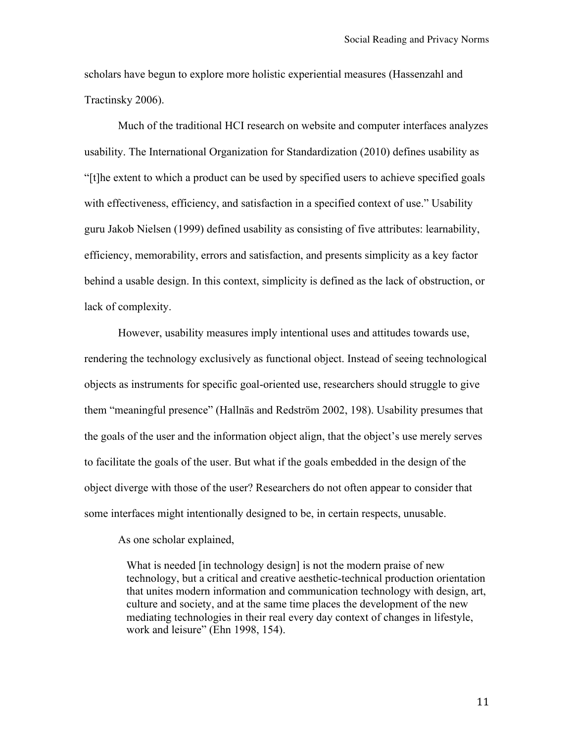scholars have begun to explore more holistic experiential measures (Hassenzahl and Tractinsky 2006).

Much of the traditional HCI research on website and computer interfaces analyzes usability. The International Organization for Standardization (2010) defines usability as "[t]he extent to which a product can be used by specified users to achieve specified goals with effectiveness, efficiency, and satisfaction in a specified context of use." Usability guru Jakob Nielsen (1999) defined usability as consisting of five attributes: learnability, efficiency, memorability, errors and satisfaction, and presents simplicity as a key factor behind a usable design. In this context, simplicity is defined as the lack of obstruction, or lack of complexity.

However, usability measures imply intentional uses and attitudes towards use, rendering the technology exclusively as functional object. Instead of seeing technological objects as instruments for specific goal-oriented use, researchers should struggle to give them "meaningful presence" (Hallnäs and Redström 2002, 198). Usability presumes that the goals of the user and the information object align, that the object's use merely serves to facilitate the goals of the user. But what if the goals embedded in the design of the object diverge with those of the user? Researchers do not often appear to consider that some interfaces might intentionally designed to be, in certain respects, unusable.

As one scholar explained,

What is needed [in technology design] is not the modern praise of new technology, but a critical and creative aesthetic-technical production orientation that unites modern information and communication technology with design, art, culture and society, and at the same time places the development of the new mediating technologies in their real every day context of changes in lifestyle, work and leisure" (Ehn 1998, 154).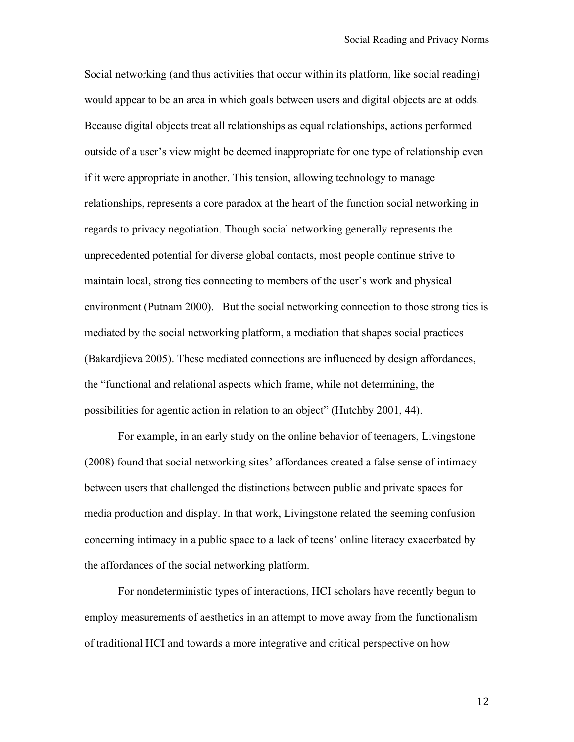Social networking (and thus activities that occur within its platform, like social reading) would appear to be an area in which goals between users and digital objects are at odds. Because digital objects treat all relationships as equal relationships, actions performed outside of a user's view might be deemed inappropriate for one type of relationship even if it were appropriate in another. This tension, allowing technology to manage relationships, represents a core paradox at the heart of the function social networking in regards to privacy negotiation. Though social networking generally represents the unprecedented potential for diverse global contacts, most people continue strive to maintain local, strong ties connecting to members of the user's work and physical environment (Putnam 2000). But the social networking connection to those strong ties is mediated by the social networking platform, a mediation that shapes social practices (Bakardjieva 2005). These mediated connections are influenced by design affordances, the "functional and relational aspects which frame, while not determining, the possibilities for agentic action in relation to an object" (Hutchby 2001, 44).

For example, in an early study on the online behavior of teenagers, Livingstone (2008) found that social networking sites' affordances created a false sense of intimacy between users that challenged the distinctions between public and private spaces for media production and display. In that work, Livingstone related the seeming confusion concerning intimacy in a public space to a lack of teens' online literacy exacerbated by the affordances of the social networking platform.

For nondeterministic types of interactions, HCI scholars have recently begun to employ measurements of aesthetics in an attempt to move away from the functionalism of traditional HCI and towards a more integrative and critical perspective on how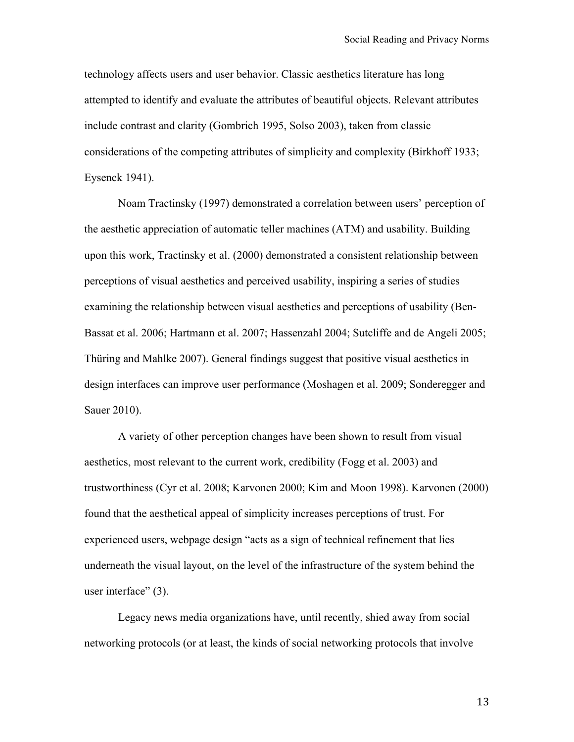technology affects users and user behavior. Classic aesthetics literature has long attempted to identify and evaluate the attributes of beautiful objects. Relevant attributes include contrast and clarity (Gombrich 1995, Solso 2003), taken from classic considerations of the competing attributes of simplicity and complexity (Birkhoff 1933; Eysenck 1941).

Noam Tractinsky (1997) demonstrated a correlation between users' perception of the aesthetic appreciation of automatic teller machines (ATM) and usability. Building upon this work, Tractinsky et al. (2000) demonstrated a consistent relationship between perceptions of visual aesthetics and perceived usability, inspiring a series of studies examining the relationship between visual aesthetics and perceptions of usability (Ben-Bassat et al. 2006; Hartmann et al. 2007; Hassenzahl 2004; Sutcliffe and de Angeli 2005; Thüring and Mahlke 2007). General findings suggest that positive visual aesthetics in design interfaces can improve user performance (Moshagen et al. 2009; Sonderegger and Sauer 2010).

A variety of other perception changes have been shown to result from visual aesthetics, most relevant to the current work, credibility (Fogg et al. 2003) and trustworthiness (Cyr et al. 2008; Karvonen 2000; Kim and Moon 1998). Karvonen (2000) found that the aesthetical appeal of simplicity increases perceptions of trust. For experienced users, webpage design "acts as a sign of technical refinement that lies underneath the visual layout, on the level of the infrastructure of the system behind the user interface" (3).

Legacy news media organizations have, until recently, shied away from social networking protocols (or at least, the kinds of social networking protocols that involve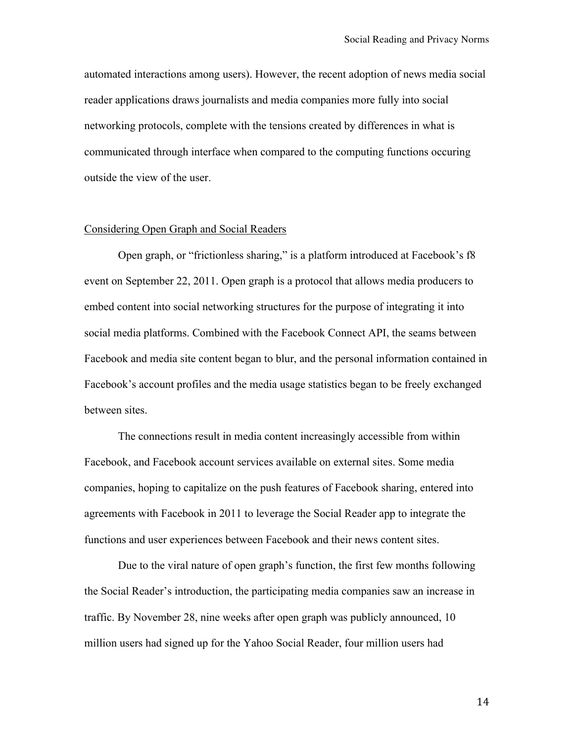automated interactions among users). However, the recent adoption of news media social reader applications draws journalists and media companies more fully into social networking protocols, complete with the tensions created by differences in what is communicated through interface when compared to the computing functions occuring outside the view of the user.

#### Considering Open Graph and Social Readers

Open graph, or "frictionless sharing," is a platform introduced at Facebook's f8 event on September 22, 2011. Open graph is a protocol that allows media producers to embed content into social networking structures for the purpose of integrating it into social media platforms. Combined with the Facebook Connect API, the seams between Facebook and media site content began to blur, and the personal information contained in Facebook's account profiles and the media usage statistics began to be freely exchanged between sites.

The connections result in media content increasingly accessible from within Facebook, and Facebook account services available on external sites. Some media companies, hoping to capitalize on the push features of Facebook sharing, entered into agreements with Facebook in 2011 to leverage the Social Reader app to integrate the functions and user experiences between Facebook and their news content sites.

Due to the viral nature of open graph's function, the first few months following the Social Reader's introduction, the participating media companies saw an increase in traffic. By November 28, nine weeks after open graph was publicly announced, 10 million users had signed up for the Yahoo Social Reader, four million users had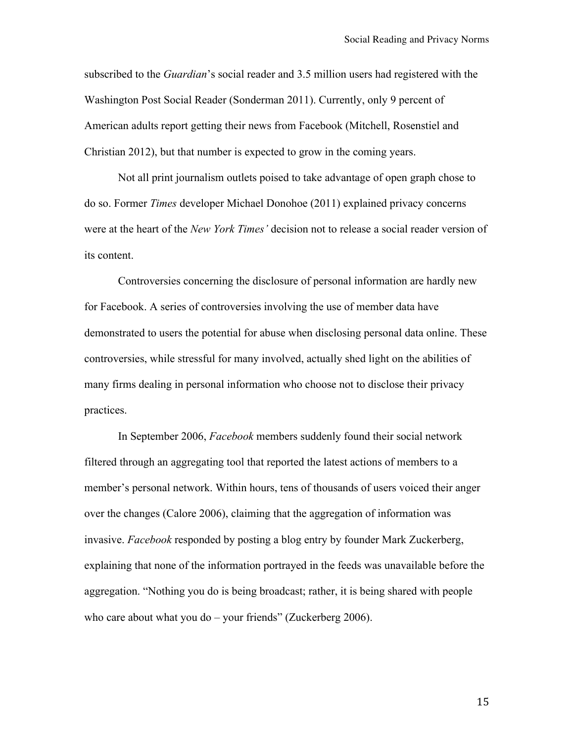subscribed to the *Guardian*'s social reader and 3.5 million users had registered with the Washington Post Social Reader (Sonderman 2011). Currently, only 9 percent of American adults report getting their news from Facebook (Mitchell, Rosenstiel and Christian 2012), but that number is expected to grow in the coming years.

Not all print journalism outlets poised to take advantage of open graph chose to do so. Former *Times* developer Michael Donohoe (2011) explained privacy concerns were at the heart of the *New York Times'* decision not to release a social reader version of its content.

Controversies concerning the disclosure of personal information are hardly new for Facebook. A series of controversies involving the use of member data have demonstrated to users the potential for abuse when disclosing personal data online. These controversies, while stressful for many involved, actually shed light on the abilities of many firms dealing in personal information who choose not to disclose their privacy practices.

In September 2006, *Facebook* members suddenly found their social network filtered through an aggregating tool that reported the latest actions of members to a member's personal network. Within hours, tens of thousands of users voiced their anger over the changes (Calore 2006), claiming that the aggregation of information was invasive. *Facebook* responded by posting a blog entry by founder Mark Zuckerberg, explaining that none of the information portrayed in the feeds was unavailable before the aggregation. "Nothing you do is being broadcast; rather, it is being shared with people who care about what you do  $-$  your friends" (Zuckerberg 2006).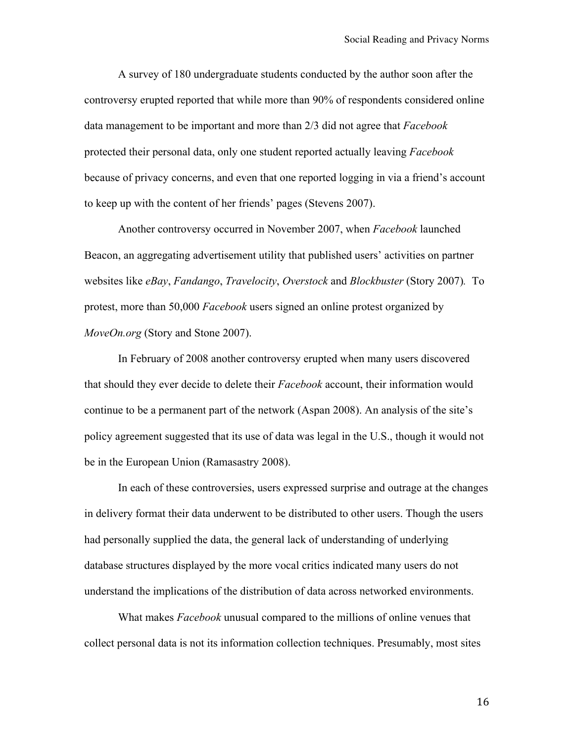A survey of 180 undergraduate students conducted by the author soon after the controversy erupted reported that while more than 90% of respondents considered online data management to be important and more than 2/3 did not agree that *Facebook* protected their personal data, only one student reported actually leaving *Facebook* because of privacy concerns, and even that one reported logging in via a friend's account to keep up with the content of her friends' pages (Stevens 2007).

Another controversy occurred in November 2007, when *Facebook* launched Beacon, an aggregating advertisement utility that published users' activities on partner websites like *eBay*, *Fandango*, *Travelocity*, *Overstock* and *Blockbuster* (Story 2007)*.* To protest, more than 50,000 *Facebook* users signed an online protest organized by *MoveOn.org* (Story and Stone 2007).

In February of 2008 another controversy erupted when many users discovered that should they ever decide to delete their *Facebook* account, their information would continue to be a permanent part of the network (Aspan 2008). An analysis of the site's policy agreement suggested that its use of data was legal in the U.S., though it would not be in the European Union (Ramasastry 2008).

In each of these controversies, users expressed surprise and outrage at the changes in delivery format their data underwent to be distributed to other users. Though the users had personally supplied the data, the general lack of understanding of underlying database structures displayed by the more vocal critics indicated many users do not understand the implications of the distribution of data across networked environments.

What makes *Facebook* unusual compared to the millions of online venues that collect personal data is not its information collection techniques. Presumably, most sites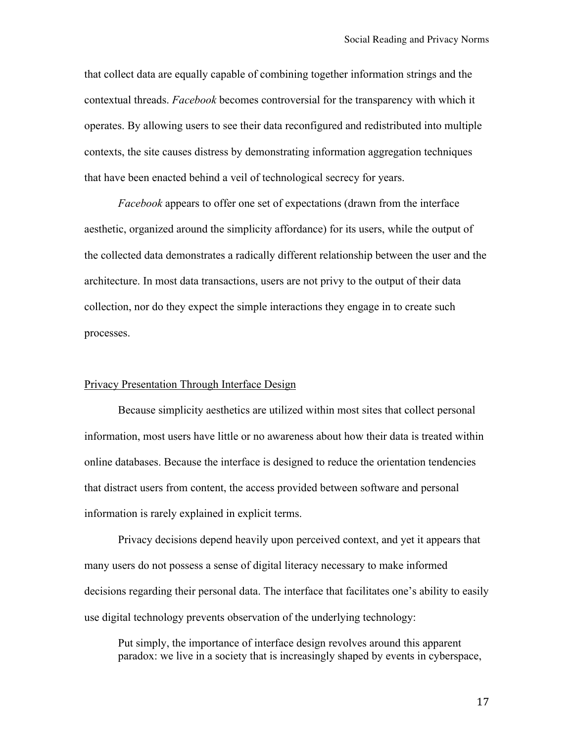that collect data are equally capable of combining together information strings and the contextual threads. *Facebook* becomes controversial for the transparency with which it operates. By allowing users to see their data reconfigured and redistributed into multiple contexts, the site causes distress by demonstrating information aggregation techniques that have been enacted behind a veil of technological secrecy for years.

*Facebook* appears to offer one set of expectations (drawn from the interface aesthetic, organized around the simplicity affordance) for its users, while the output of the collected data demonstrates a radically different relationship between the user and the architecture. In most data transactions, users are not privy to the output of their data collection, nor do they expect the simple interactions they engage in to create such processes.

## Privacy Presentation Through Interface Design

Because simplicity aesthetics are utilized within most sites that collect personal information, most users have little or no awareness about how their data is treated within online databases. Because the interface is designed to reduce the orientation tendencies that distract users from content, the access provided between software and personal information is rarely explained in explicit terms.

Privacy decisions depend heavily upon perceived context, and yet it appears that many users do not possess a sense of digital literacy necessary to make informed decisions regarding their personal data. The interface that facilitates one's ability to easily use digital technology prevents observation of the underlying technology:

Put simply, the importance of interface design revolves around this apparent paradox: we live in a society that is increasingly shaped by events in cyberspace,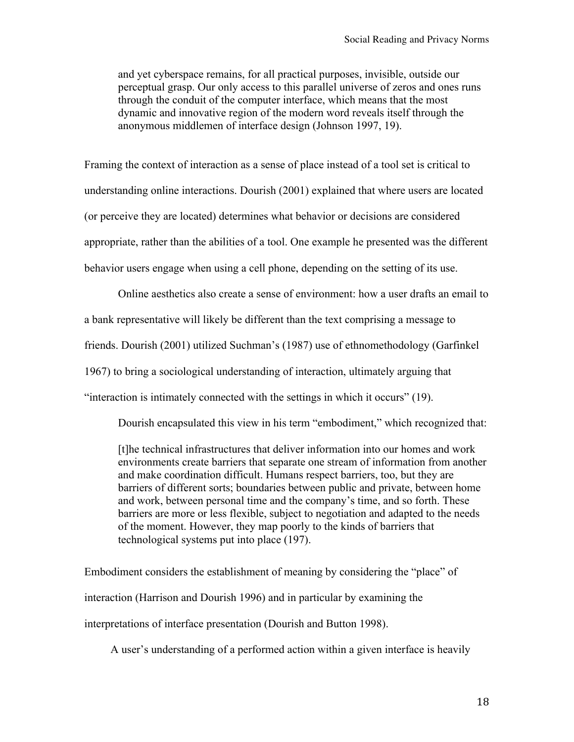and yet cyberspace remains, for all practical purposes, invisible, outside our perceptual grasp. Our only access to this parallel universe of zeros and ones runs through the conduit of the computer interface, which means that the most dynamic and innovative region of the modern word reveals itself through the anonymous middlemen of interface design (Johnson 1997, 19).

Framing the context of interaction as a sense of place instead of a tool set is critical to understanding online interactions. Dourish (2001) explained that where users are located (or perceive they are located) determines what behavior or decisions are considered appropriate, rather than the abilities of a tool. One example he presented was the different behavior users engage when using a cell phone, depending on the setting of its use.

Online aesthetics also create a sense of environment: how a user drafts an email to a bank representative will likely be different than the text comprising a message to friends. Dourish (2001) utilized Suchman's (1987) use of ethnomethodology (Garfinkel 1967) to bring a sociological understanding of interaction, ultimately arguing that "interaction is intimately connected with the settings in which it occurs" (19).

Dourish encapsulated this view in his term "embodiment," which recognized that:

[t]he technical infrastructures that deliver information into our homes and work environments create barriers that separate one stream of information from another and make coordination difficult. Humans respect barriers, too, but they are barriers of different sorts; boundaries between public and private, between home and work, between personal time and the company's time, and so forth. These barriers are more or less flexible, subject to negotiation and adapted to the needs of the moment. However, they map poorly to the kinds of barriers that technological systems put into place (197).

Embodiment considers the establishment of meaning by considering the "place" of interaction (Harrison and Dourish 1996) and in particular by examining the interpretations of interface presentation (Dourish and Button 1998).

A user's understanding of a performed action within a given interface is heavily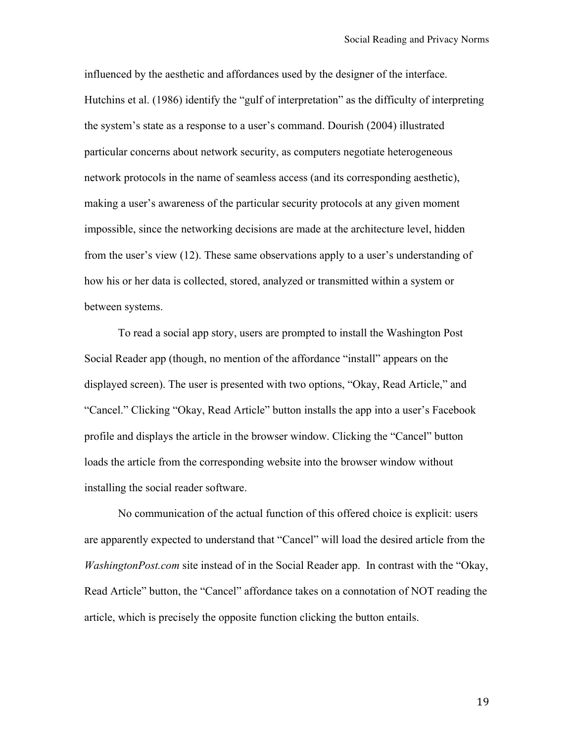influenced by the aesthetic and affordances used by the designer of the interface. Hutchins et al. (1986) identify the "gulf of interpretation" as the difficulty of interpreting the system's state as a response to a user's command. Dourish (2004) illustrated particular concerns about network security, as computers negotiate heterogeneous network protocols in the name of seamless access (and its corresponding aesthetic), making a user's awareness of the particular security protocols at any given moment impossible, since the networking decisions are made at the architecture level, hidden from the user's view (12). These same observations apply to a user's understanding of how his or her data is collected, stored, analyzed or transmitted within a system or between systems.

To read a social app story, users are prompted to install the Washington Post Social Reader app (though, no mention of the affordance "install" appears on the displayed screen). The user is presented with two options, "Okay, Read Article," and "Cancel." Clicking "Okay, Read Article" button installs the app into a user's Facebook profile and displays the article in the browser window. Clicking the "Cancel" button loads the article from the corresponding website into the browser window without installing the social reader software.

No communication of the actual function of this offered choice is explicit: users are apparently expected to understand that "Cancel" will load the desired article from the *WashingtonPost.com* site instead of in the Social Reader app. In contrast with the "Okay, Read Article" button, the "Cancel" affordance takes on a connotation of NOT reading the article, which is precisely the opposite function clicking the button entails.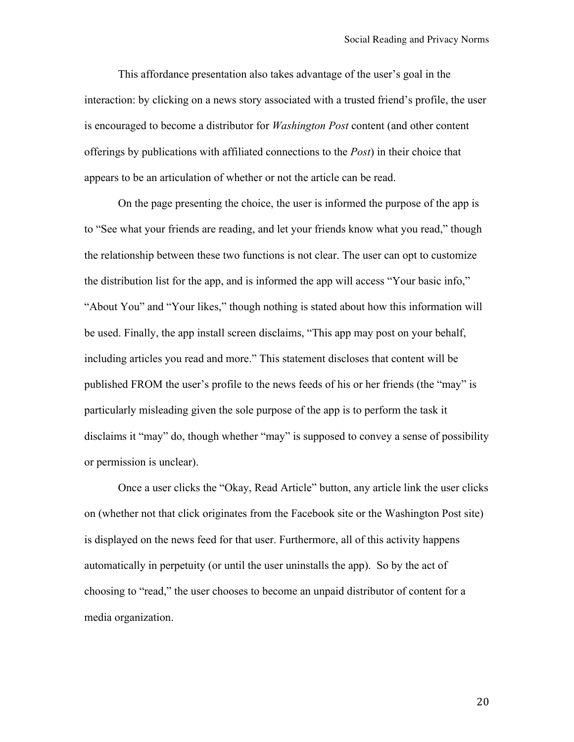This affordance presentation also takes advantage of the user's goal in the interaction: by clicking on a news story associated with a trusted friend's profile, the user is encouraged to become a distributor for *Washington Post* content (and other content offerings by publications with affiliated connections to the *Post*) in their choice that appears to be an articulation of whether or not the article can be read.

On the page presenting the choice, the user is informed the purpose of the app is to "See what your friends are reading, and let your friends know what you read," though the relationship between these two functions is not clear. The user can opt to customize the distribution list for the app, and is informed the app will access "Your basic info," "About You" and "Your likes," though nothing is stated about how this information will be used. Finally, the app install screen disclaims, "This app may post on your behalf, including articles you read and more." This statement discloses that content will be published FROM the user's profile to the news feeds of his or her friends (the "may" is particularly misleading given the sole purpose of the app is to perform the task it disclaims it "may" do, though whether "may" is supposed to convey a sense of possibility or permission is unclear).

Once a user clicks the "Okay, Read Article" button, any article link the user clicks on (whether not that click originates from the Facebook site or the Washington Post site) is displayed on the news feed for that user. Furthermore, all of this activity happens automatically in perpetuity (or until the user uninstalls the app). So by the act of choosing to "read," the user chooses to become an unpaid distributor of content for a media organization.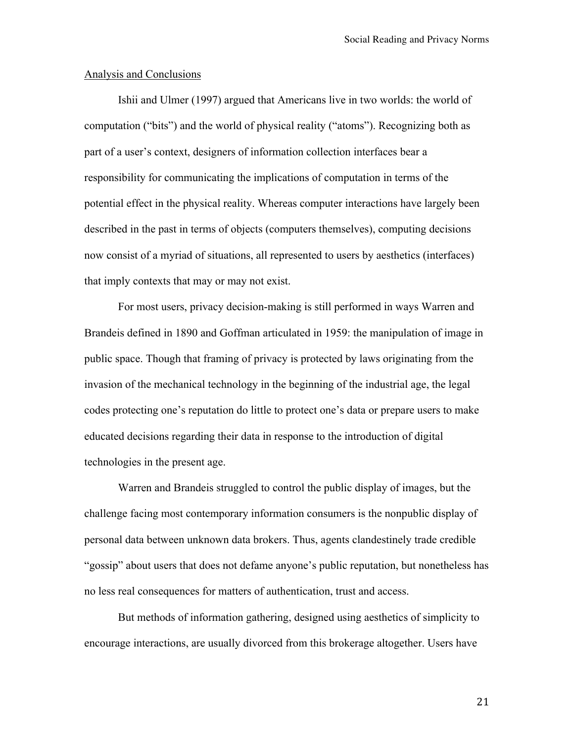#### Analysis and Conclusions

Ishii and Ulmer (1997) argued that Americans live in two worlds: the world of computation ("bits") and the world of physical reality ("atoms"). Recognizing both as part of a user's context, designers of information collection interfaces bear a responsibility for communicating the implications of computation in terms of the potential effect in the physical reality. Whereas computer interactions have largely been described in the past in terms of objects (computers themselves), computing decisions now consist of a myriad of situations, all represented to users by aesthetics (interfaces) that imply contexts that may or may not exist.

For most users, privacy decision-making is still performed in ways Warren and Brandeis defined in 1890 and Goffman articulated in 1959: the manipulation of image in public space. Though that framing of privacy is protected by laws originating from the invasion of the mechanical technology in the beginning of the industrial age, the legal codes protecting one's reputation do little to protect one's data or prepare users to make educated decisions regarding their data in response to the introduction of digital technologies in the present age.

Warren and Brandeis struggled to control the public display of images, but the challenge facing most contemporary information consumers is the nonpublic display of personal data between unknown data brokers. Thus, agents clandestinely trade credible "gossip" about users that does not defame anyone's public reputation, but nonetheless has no less real consequences for matters of authentication, trust and access.

But methods of information gathering, designed using aesthetics of simplicity to encourage interactions, are usually divorced from this brokerage altogether. Users have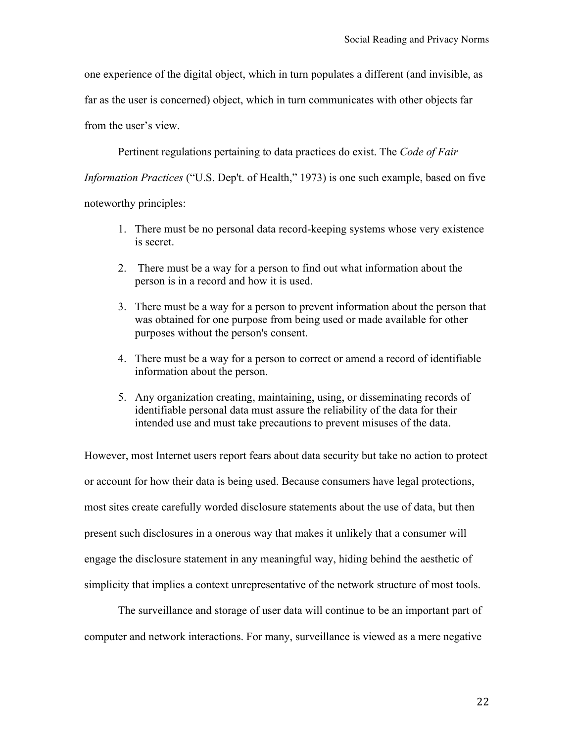one experience of the digital object, which in turn populates a different (and invisible, as

far as the user is concerned) object, which in turn communicates with other objects far

from the user's view.

Pertinent regulations pertaining to data practices do exist. The *Code of Fair* 

*Information Practices* ("U.S. Dep't. of Health," 1973) is one such example, based on five

noteworthy principles:

- 1. There must be no personal data record-keeping systems whose very existence is secret.
- 2. There must be a way for a person to find out what information about the person is in a record and how it is used.
- 3. There must be a way for a person to prevent information about the person that was obtained for one purpose from being used or made available for other purposes without the person's consent.
- 4. There must be a way for a person to correct or amend a record of identifiable information about the person.
- 5. Any organization creating, maintaining, using, or disseminating records of identifiable personal data must assure the reliability of the data for their intended use and must take precautions to prevent misuses of the data.

However, most Internet users report fears about data security but take no action to protect or account for how their data is being used. Because consumers have legal protections, most sites create carefully worded disclosure statements about the use of data, but then present such disclosures in a onerous way that makes it unlikely that a consumer will engage the disclosure statement in any meaningful way, hiding behind the aesthetic of simplicity that implies a context unrepresentative of the network structure of most tools.

The surveillance and storage of user data will continue to be an important part of computer and network interactions. For many, surveillance is viewed as a mere negative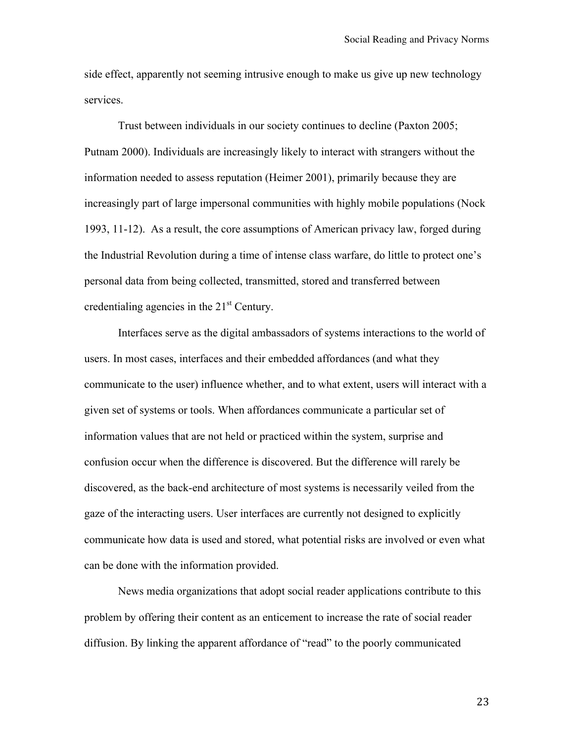side effect, apparently not seeming intrusive enough to make us give up new technology services.

Trust between individuals in our society continues to decline (Paxton 2005; Putnam 2000). Individuals are increasingly likely to interact with strangers without the information needed to assess reputation (Heimer 2001), primarily because they are increasingly part of large impersonal communities with highly mobile populations (Nock 1993, 11-12). As a result, the core assumptions of American privacy law, forged during the Industrial Revolution during a time of intense class warfare, do little to protect one's personal data from being collected, transmitted, stored and transferred between credentialing agencies in the  $21<sup>st</sup>$  Century.

Interfaces serve as the digital ambassadors of systems interactions to the world of users. In most cases, interfaces and their embedded affordances (and what they communicate to the user) influence whether, and to what extent, users will interact with a given set of systems or tools. When affordances communicate a particular set of information values that are not held or practiced within the system, surprise and confusion occur when the difference is discovered. But the difference will rarely be discovered, as the back-end architecture of most systems is necessarily veiled from the gaze of the interacting users. User interfaces are currently not designed to explicitly communicate how data is used and stored, what potential risks are involved or even what can be done with the information provided.

News media organizations that adopt social reader applications contribute to this problem by offering their content as an enticement to increase the rate of social reader diffusion. By linking the apparent affordance of "read" to the poorly communicated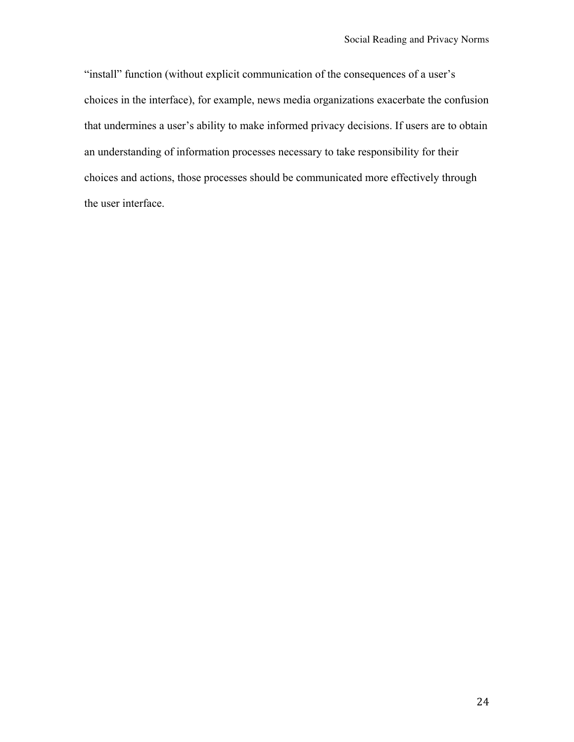"install" function (without explicit communication of the consequences of a user's choices in the interface), for example, news media organizations exacerbate the confusion that undermines a user's ability to make informed privacy decisions. If users are to obtain an understanding of information processes necessary to take responsibility for their choices and actions, those processes should be communicated more effectively through the user interface.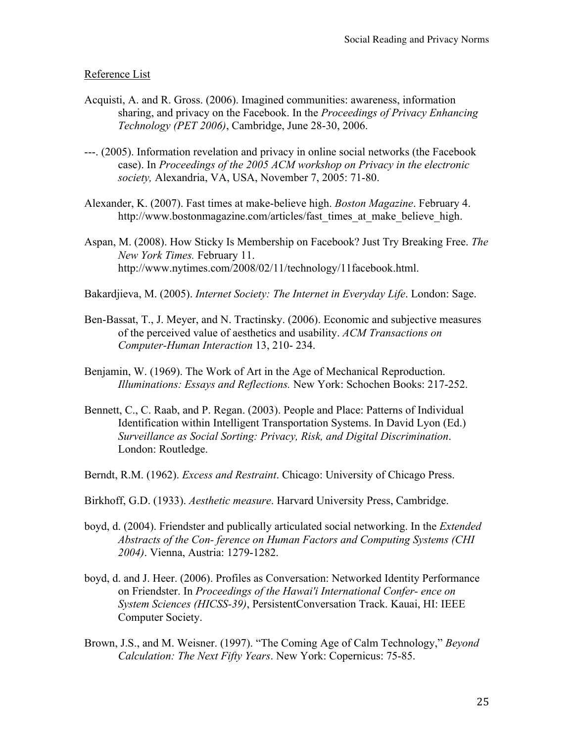# Reference List

- Acquisti, A. and R. Gross. (2006). Imagined communities: awareness, information sharing, and privacy on the Facebook. In the *Proceedings of Privacy Enhancing Technology (PET 2006)*, Cambridge, June 28-30, 2006.
- ---. (2005). Information revelation and privacy in online social networks (the Facebook case). In *Proceedings of the 2005 ACM workshop on Privacy in the electronic society,* Alexandria, VA, USA, November 7, 2005: 71-80.
- Alexander, K. (2007). Fast times at make-believe high. *Boston Magazine*. February 4. http://www.bostonmagazine.com/articles/fast\_times\_at\_make\_believe\_high.
- Aspan, M. (2008). How Sticky Is Membership on Facebook? Just Try Breaking Free. *The New York Times.* February 11. http://www.nytimes.com/2008/02/11/technology/11facebook.html.
- Bakardjieva, M. (2005). *Internet Society: The Internet in Everyday Life*. London: Sage.
- Ben-Bassat, T., J. Meyer, and N. Tractinsky. (2006). Economic and subjective measures of the perceived value of aesthetics and usability. *ACM Transactions on Computer-Human Interaction* 13, 210- 234.
- Benjamin, W. (1969). The Work of Art in the Age of Mechanical Reproduction. *Illuminations: Essays and Reflections.* New York: Schochen Books: 217-252.
- Bennett, C., C. Raab, and P. Regan. (2003). People and Place: Patterns of Individual Identification within Intelligent Transportation Systems. In David Lyon (Ed.) *Surveillance as Social Sorting: Privacy, Risk, and Digital Discrimination*. London: Routledge.
- Berndt, R.M. (1962). *Excess and Restraint*. Chicago: University of Chicago Press.
- Birkhoff, G.D. (1933). *Aesthetic measure*. Harvard University Press, Cambridge.
- boyd, d. (2004). Friendster and publically articulated social networking. In the *Extended Abstracts of the Con- ference on Human Factors and Computing Systems (CHI 2004)*. Vienna, Austria: 1279-1282.
- boyd, d. and J. Heer. (2006). Profiles as Conversation: Networked Identity Performance on Friendster. In *Proceedings of the Hawai'i International Confer- ence on System Sciences (HICSS-39)*, PersistentConversation Track. Kauai, HI: IEEE Computer Society.
- Brown, J.S., and M. Weisner. (1997). "The Coming Age of Calm Technology," *Beyond Calculation: The Next Fifty Years*. New York: Copernicus: 75-85.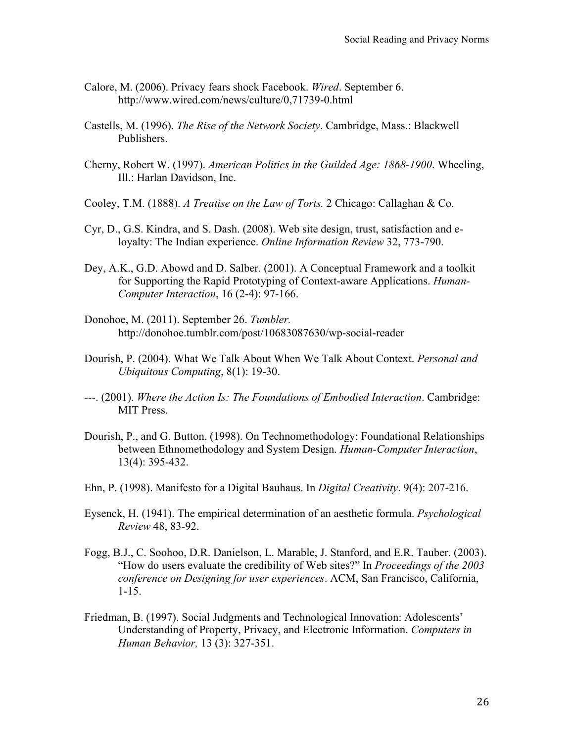- Calore, M. (2006). Privacy fears shock Facebook. *Wired*. September 6. http://www.wired.com/news/culture/0,71739-0.html
- Castells, M. (1996). *The Rise of the Network Society*. Cambridge, Mass.: Blackwell Publishers.
- Cherny, Robert W. (1997). *American Politics in the Guilded Age: 1868-1900*. Wheeling, Ill.: Harlan Davidson, Inc.
- Cooley, T.M. (1888). *A Treatise on the Law of Torts.* 2 Chicago: Callaghan & Co.
- Cyr, D., G.S. Kindra, and S. Dash. (2008). Web site design, trust, satisfaction and eloyalty: The Indian experience. *Online Information Review* 32, 773-790.
- Dey, A.K., G.D. Abowd and D. Salber. (2001). A Conceptual Framework and a toolkit for Supporting the Rapid Prototyping of Context-aware Applications. *Human-Computer Interaction*, 16 (2-4): 97-166.
- Donohoe, M. (2011). September 26. *Tumbler.* http://donohoe.tumblr.com/post/10683087630/wp-social-reader
- Dourish, P. (2004). What We Talk About When We Talk About Context. *Personal and Ubiquitous Computing*, 8(1): 19-30.
- ---. (2001). *Where the Action Is: The Foundations of Embodied Interaction*. Cambridge: MIT Press.
- Dourish, P., and G. Button. (1998). On Technomethodology: Foundational Relationships between Ethnomethodology and System Design. *Human-Computer Interaction*, 13(4): 395-432.
- Ehn, P. (1998). Manifesto for a Digital Bauhaus. In *Digital Creativity*. 9(4): 207-216.
- Eysenck, H. (1941). The empirical determination of an aesthetic formula. *Psychological Review* 48, 83-92.
- Fogg, B.J., C. Soohoo, D.R. Danielson, L. Marable, J. Stanford, and E.R. Tauber. (2003). "How do users evaluate the credibility of Web sites?" In *Proceedings of the 2003 conference on Designing for user experiences*. ACM, San Francisco, California, 1-15.
- Friedman, B. (1997). Social Judgments and Technological Innovation: Adolescents' Understanding of Property, Privacy, and Electronic Information. *Computers in Human Behavior,* 13 (3): 327-351.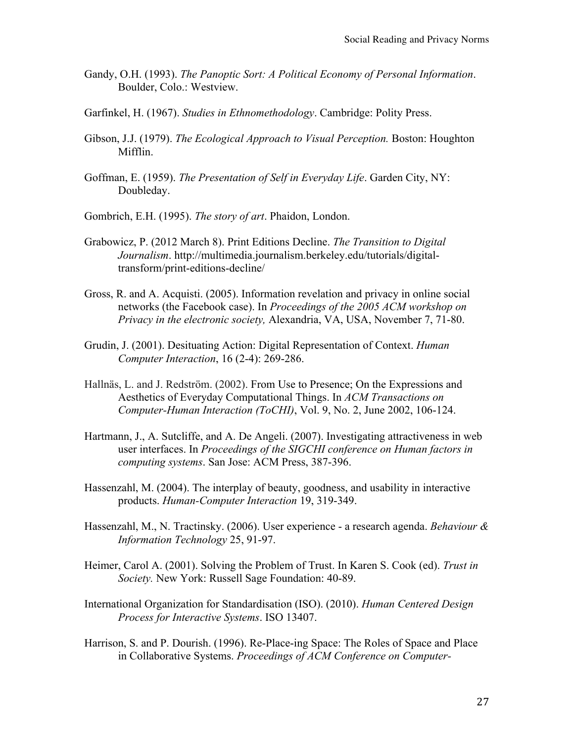- Gandy, O.H. (1993). *The Panoptic Sort: A Political Economy of Personal Information*. Boulder, Colo.: Westview.
- Garfinkel, H. (1967). *Studies in Ethnomethodology*. Cambridge: Polity Press.
- Gibson, J.J. (1979). *The Ecological Approach to Visual Perception.* Boston: Houghton Mifflin.
- Goffman, E. (1959). *The Presentation of Self in Everyday Life*. Garden City, NY: Doubleday.
- Gombrich, E.H. (1995). *The story of art*. Phaidon, London.
- Grabowicz, P. (2012 March 8). Print Editions Decline. *The Transition to Digital Journalism*. http://multimedia.journalism.berkeley.edu/tutorials/digitaltransform/print-editions-decline/
- Gross, R. and A. Acquisti. (2005). Information revelation and privacy in online social networks (the Facebook case). In *Proceedings of the 2005 ACM workshop on Privacy in the electronic society,* Alexandria, VA, USA, November 7, 71-80.
- Grudin, J. (2001). Desituating Action: Digital Representation of Context. *Human Computer Interaction*, 16 (2-4): 269-286.
- Hallnäs, L. and J. Redström. (2002). From Use to Presence; On the Expressions and Aesthetics of Everyday Computational Things. In *ACM Transactions on Computer-Human Interaction (ToCHI)*, Vol. 9, No. 2, June 2002, 106-124.
- Hartmann, J., A. Sutcliffe, and A. De Angeli. (2007). Investigating attractiveness in web user interfaces. In *Proceedings of the SIGCHI conference on Human factors in computing systems*. San Jose: ACM Press, 387-396.
- Hassenzahl, M. (2004). The interplay of beauty, goodness, and usability in interactive products. *Human-Computer Interaction* 19, 319-349.
- Hassenzahl, M., N. Tractinsky. (2006). User experience a research agenda. *Behaviour & Information Technology* 25, 91-97.
- Heimer, Carol A. (2001). Solving the Problem of Trust. In Karen S. Cook (ed). *Trust in Society.* New York: Russell Sage Foundation: 40-89.
- International Organization for Standardisation (ISO). (2010). *Human Centered Design Process for Interactive Systems*. ISO 13407.
- Harrison, S. and P. Dourish. (1996). Re-Place-ing Space: The Roles of Space and Place in Collaborative Systems. *Proceedings of ACM Conference on Computer-*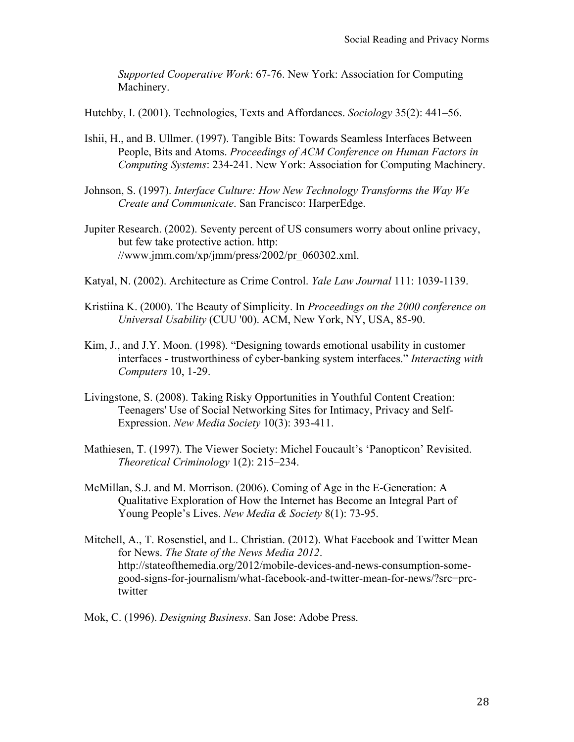*Supported Cooperative Work*: 67-76. New York: Association for Computing Machinery.

Hutchby, I. (2001). Technologies, Texts and Affordances. *Sociology* 35(2): 441–56.

- Ishii, H., and B. Ullmer. (1997). Tangible Bits: Towards Seamless Interfaces Between People, Bits and Atoms. *Proceedings of ACM Conference on Human Factors in Computing Systems*: 234-241. New York: Association for Computing Machinery.
- Johnson, S. (1997). *Interface Culture: How New Technology Transforms the Way We Create and Communicate*. San Francisco: HarperEdge.
- Jupiter Research. (2002). Seventy percent of US consumers worry about online privacy, but few take protective action. http:  $//www.jmm.com/xp/jmm/press/2002/pr 060302.xml.$
- Katyal, N. (2002). Architecture as Crime Control. *Yale Law Journal* 111: 1039-1139.
- Kristiina K. (2000). The Beauty of Simplicity. In *Proceedings on the 2000 conference on Universal Usability* (CUU '00). ACM, New York, NY, USA, 85-90.
- Kim, J., and J.Y. Moon. (1998). "Designing towards emotional usability in customer interfaces - trustworthiness of cyber-banking system interfaces." *Interacting with Computers* 10, 1-29.
- Livingstone, S. (2008). Taking Risky Opportunities in Youthful Content Creation: Teenagers' Use of Social Networking Sites for Intimacy, Privacy and Self-Expression. *New Media Society* 10(3): 393-411.
- Mathiesen, T. (1997). The Viewer Society: Michel Foucault's 'Panopticon' Revisited. *Theoretical Criminology* 1(2): 215–234.
- McMillan, S.J. and M. Morrison. (2006). Coming of Age in the E-Generation: A Qualitative Exploration of How the Internet has Become an Integral Part of Young People's Lives. *New Media & Society* 8(1): 73-95.
- Mitchell, A., T. Rosenstiel, and L. Christian. (2012). What Facebook and Twitter Mean for News. *The State of the News Media 2012*. http://stateofthemedia.org/2012/mobile-devices-and-news-consumption-somegood-signs-for-journalism/what-facebook-and-twitter-mean-for-news/?src=prctwitter
- Mok, C. (1996). *Designing Business*. San Jose: Adobe Press.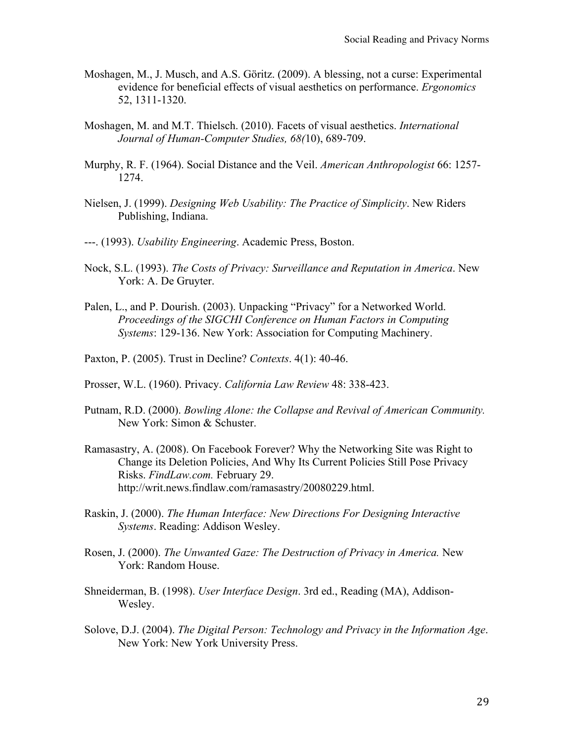- Moshagen, M., J. Musch, and A.S. Göritz. (2009). A blessing, not a curse: Experimental evidence for beneficial effects of visual aesthetics on performance. *Ergonomics* 52, 1311-1320.
- Moshagen, M. and M.T. Thielsch. (2010). Facets of visual aesthetics. *International Journal of Human-Computer Studies, 68(*10), 689-709.
- Murphy, R. F. (1964). Social Distance and the Veil. *American Anthropologist* 66: 1257- 1274.
- Nielsen, J. (1999). *Designing Web Usability: The Practice of Simplicity*. New Riders Publishing, Indiana.
- ---. (1993). *Usability Engineering*. Academic Press, Boston.
- Nock, S.L. (1993). *The Costs of Privacy: Surveillance and Reputation in America*. New York: A. De Gruyter.
- Palen, L., and P. Dourish. (2003). Unpacking "Privacy" for a Networked World. *Proceedings of the SIGCHI Conference on Human Factors in Computing Systems*: 129-136. New York: Association for Computing Machinery.
- Paxton, P. (2005). Trust in Decline? *Contexts*. 4(1): 40-46.
- Prosser, W.L. (1960). Privacy. *California Law Review* 48: 338-423.
- Putnam, R.D. (2000). *Bowling Alone: the Collapse and Revival of American Community.* New York: Simon & Schuster.
- Ramasastry, A. (2008). On Facebook Forever? Why the Networking Site was Right to Change its Deletion Policies, And Why Its Current Policies Still Pose Privacy Risks. *FindLaw.com.* February 29. http://writ.news.findlaw.com/ramasastry/20080229.html.
- Raskin, J. (2000). *The Human Interface: New Directions For Designing Interactive Systems*. Reading: Addison Wesley.
- Rosen, J. (2000). *The Unwanted Gaze: The Destruction of Privacy in America.* New York: Random House.
- Shneiderman, B. (1998). *User Interface Design*. 3rd ed., Reading (MA), Addison-Wesley.
- Solove, D.J. (2004). *The Digital Person: Technology and Privacy in the Information Age*. New York: New York University Press.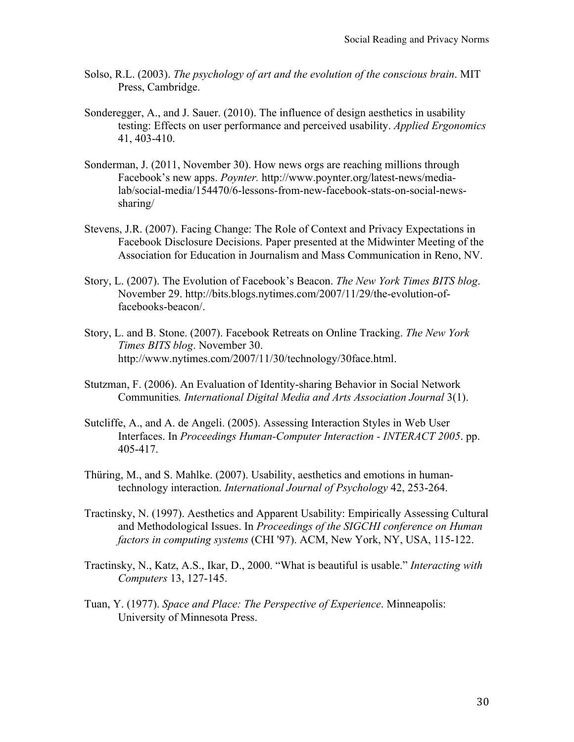- Solso, R.L. (2003). *The psychology of art and the evolution of the conscious brain*. MIT Press, Cambridge.
- Sonderegger, A., and J. Sauer. (2010). The influence of design aesthetics in usability testing: Effects on user performance and perceived usability. *Applied Ergonomics* 41, 403-410.
- Sonderman, J. (2011, November 30). How news orgs are reaching millions through Facebook's new apps. *Poynter.* http://www.poynter.org/latest-news/medialab/social-media/154470/6-lessons-from-new-facebook-stats-on-social-newssharing/
- Stevens, J.R. (2007). Facing Change: The Role of Context and Privacy Expectations in Facebook Disclosure Decisions. Paper presented at the Midwinter Meeting of the Association for Education in Journalism and Mass Communication in Reno, NV.
- Story, L. (2007). The Evolution of Facebook's Beacon. *The New York Times BITS blog*. November 29. http://bits.blogs.nytimes.com/2007/11/29/the-evolution-offacebooks-beacon/.
- Story, L. and B. Stone. (2007). Facebook Retreats on Online Tracking. *The New York Times BITS blog*. November 30. http://www.nytimes.com/2007/11/30/technology/30face.html.
- Stutzman, F. (2006). An Evaluation of Identity-sharing Behavior in Social Network Communities*. International Digital Media and Arts Association Journal* 3(1).
- Sutcliffe, A., and A. de Angeli. (2005). Assessing Interaction Styles in Web User Interfaces. In *Proceedings Human-Computer Interaction - INTERACT 2005*. pp. 405-417.
- Thüring, M., and S. Mahlke. (2007). Usability, aesthetics and emotions in humantechnology interaction. *International Journal of Psychology* 42, 253-264.
- Tractinsky, N. (1997). Aesthetics and Apparent Usability: Empirically Assessing Cultural and Methodological Issues. In *Proceedings of the SIGCHI conference on Human factors in computing systems* (CHI '97). ACM, New York, NY, USA, 115-122.
- Tractinsky, N., Katz, A.S., Ikar, D., 2000. "What is beautiful is usable." *Interacting with Computers* 13, 127-145.
- Tuan, Y. (1977). *Space and Place: The Perspective of Experience*. Minneapolis: University of Minnesota Press.